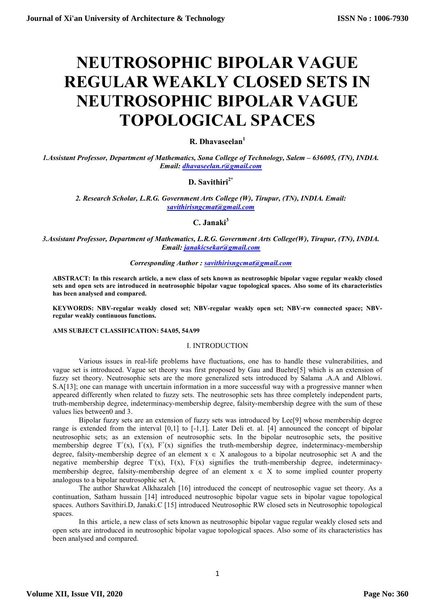# NEUTROSOPHIC BIPOLAR VAGUE REGULAR WEAKLY CLOSED SETS IN NEUTROSOPHIC BIPOLAR VAGUE TOPOLOGICAL SPACES

R. Dhavaseelan<sup>1</sup>

1.Assistant Professor, Department of Mathematics, Sona College of Technology, Salem – 636005, (TN), INDIA. Email: dhavaseelan.r@gmail.com

## D. Savithiri $2^*$

2. Research Scholar, L.R.G. Government Arts College (W), Tirupur, (TN), INDIA. Email: savithirisngcmat@gmail.com

## C. Janaki<sup>3</sup>

3.Assistant Professor, Department of Mathematics, L.R.G. Government Arts College(W), Tirupur, (TN), INDIA. Email: janakicsekar@gmail.com

#### Corresponding Author: savithirisngcmat@gmail.com

ABSTRACT: In this research article, a new class of sets known as neutrosophic bipolar vague regular weakly closed sets and open sets are introduced in neutrosophic bipolar vague topological spaces. Also some of its characteristics has been analysed and compared.

KEYWORDS: NBV-regular weakly closed set; NBV-regular weakly open set; NBV-rw connected space; NBVregular weakly continuous functions.

#### AMS SUBJECT CLASSIFICATION: 54A05, 54A99

#### I. INTRODUCTION

Various issues in real-life problems have fluctuations, one has to handle these vulnerabilities, and vague set is introduced. Vague set theory was first proposed by Gau and Buehre[5] which is an extension of fuzzy set theory. Neutrosophic sets are the more generalized sets introduced by Salama .A.A and Alblowi. S.A[13]; one can manage with uncertain information in a more successful way with a progressive manner when appeared differently when related to fuzzy sets. The neutrosophic sets has three completely independent parts, truth-membership degree, indeterminacy-membership degree, falsity-membership degree with the sum of these values lies between0 and 3.

Bipolar fuzzy sets are an extension of fuzzy sets was introduced by Lee[9] whose membership degree range is extended from the interval [0,1] to [-1,1]. Later Deli et. al. [4] announced the concept of bipolar neutrosophic sets; as an extension of neutrosophic sets. In the bipolar neutrosophic sets, the positive membership degree  $T^+(x)$ ,  $T^+(x)$ ,  $F^+(x)$  signifies the truth-membership degree, indeterminacy-membership degree, falsity-membership degree of an element  $x \in X$  analogous to a bipolar neutrosophic set A and the negative membership degree  $T(x)$ ,  $T(x)$ ,  $F(x)$  signifies the truth-membership degree, indeterminacymembership degree, falsity-membership degree of an element  $x \in X$  to some implied counter property analogous to a bipolar neutrosophic set A.

The author Shawkat Alkhazaleh [16] introduced the concept of neutrosophic vague set theory. As a continuation, Satham hussain [14] introduced neutrosophic bipolar vague sets in bipolar vague topological spaces. Authors Savithiri.D, Janaki.C [15] introduced Neutrosophic RW closed sets in Neutrosophic topological spaces.

In this article, a new class of sets known as neutrosophic bipolar vague regular weakly closed sets and open sets are introduced in neutrosophic bipolar vague topological spaces. Also some of its characteristics has been analysed and compared.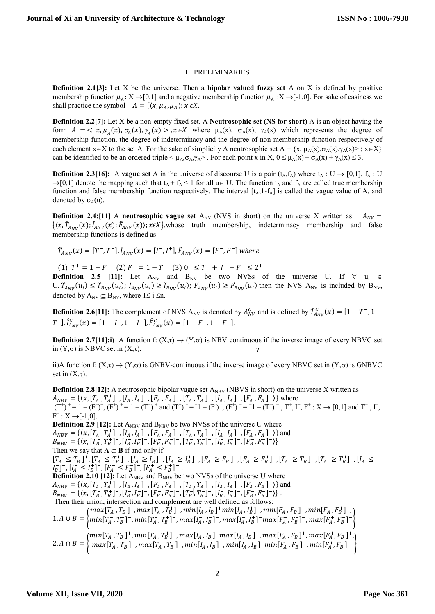## II. PRELIMINARIES

**Definition 2.1[3]:** Let X be the universe. Then a **bipolar valued fuzzy set** A on X is defined by positive membership function  $\mu_A^+$ :  $X \to [0,1]$  and a negative membership function  $\mu_A^-$ :  $X \to [-1,0]$ . For sake of easiness we shall practice the symbol  $A = \{ \langle x, \mu_A^+, \mu_A^- \rangle : x \in X \}.$ 

Definition 2.2[7]: Let X be a non-empty fixed set. A Neutrosophic set (NS for short) A is an object having the form  $A = \langle x, \mu_A(x), \sigma_A(x), \gamma_A(x) \rangle, x \in X$  where  $\mu_A(x), \sigma_A(x), \gamma_A(x)$  which represents the degree of membership function, the degree of indeterminacy and the degree of non-membership function respectively of each element  $x \in X$  to the set A. For the sake of simplicity A neutrosophic set  $A = \{x, \mu_A(x), \sigma_A(x), \gamma_A(x) > : x \in X\}$ can be identified to be an ordered triple  $\langle \mu_A, \sigma_A, \gamma_A \rangle$ . For each point x in X,  $0 \leq \mu_A(x) + \sigma_A(x) + \gamma_A(x) \leq 3$ .

**Definition 2.3[16]:** A vague set A in the universe of discourse U is a pair  $(t_A, f_A)$  where  $t_A : U \rightarrow [0,1]$ ,  $f_A : U$  $\rightarrow [0,1]$  denote the mapping such that  $t_A + f_A \le 1$  for all  $u \in U$ . The function  $t_A$  and  $f_A$  are called true membership function and false membership function respectively. The interval  $[t_A, 1-f_A]$  is called the vague value of A, and denoted by  $v_A(u)$ .

**Definition 2.4:[11]** A neutrosophic vague set  $A_{NV}$  (NVS in short) on the universe X written as  $A_{NV}$  =  $\{(x, \hat{T}_{A_{NU}}(x); \hat{I}_{ANY}(x); \hat{F}_{ANY}(x)\}; x \in X\}$ , whose truth membership, indeterminacy membership and false membership functions is defined as:

 $\hat{T}_{A_{NV}}(x) = [T^-, T^+], \hat{I}_{A_{NV}}(x) = [I^-, I^+], \hat{F}_{A_{NV}}(x) = [F^-, F^+]$  where

(1)  $T^+ = 1 - F^-$  (2)  $F^+ = 1 - T^-$  (3)  $0^- \le T^- + I^- + F^- \le 2^+$ **Definition 2.5 [11]:** Let  $A_{NV}$  and  $B_{NV}$  be two NVSs of the universe U. If  $\forall$  u<sub>i</sub>  $\in$  $U, \hat{T}_{A_{NV}}(u_i) \leq \hat{T}_{B_{NV}}(u_i)$ ;  $\hat{I}_{A_{NV}}(u_i) \geq \hat{I}_{B_{NV}}(u_i)$ ;  $\hat{F}_{A_{NV}}(u_i) \geq \hat{F}_{B_{NV}}(u_i)$  then the NVS  $A_{NV}$  is included by  $B_{NV}$ , denoted by  $A_{\text{NV}} \subseteq B_{\text{NV}}$ , where  $1 \le i \le n$ .

**Definition 2.6[11]:** The complement of NVS A<sub>NV</sub> is denoted by  $A_{NV}^C$  and is defined by  $\hat{T}_{A_{NV}}^C(x) = [1 - T^+, 1 T^{-}$ ],  $\hat{I}_{A_{NV}}^C(x) = [1 - I^+, 1 - I^-]$ ,  $\hat{F}_{A_{NV}}^C(x) = [1 - F^+, 1 - F^-]$ .

**Definition 2.7[11]:i)** A function f:  $(X,\tau) \to (Y,\sigma)$  is NBV continuous if the inverse image of every NBVC set T in  $(Y,\sigma)$  is NBVC set in  $(X,\tau)$ .

ii)A function f:  $(X,\tau) \to (Y,\sigma)$  is GNBV-continuous if the inverse image of every NBVC set in  $(Y,\sigma)$  is GNBVC set in  $(X,\tau)$ .

**Definition 2.8[12]:** A neutrosophic bipolar vague set  $A_{NBY}$  (NBVS in short) on the universe X written as  $A_{NBV} = \{ (x, [T_A^-, T_A^+]^+, [I_A^-, I_A^+]^+, [F_A^-, F_A^+]^+, [T_A^-, T_A^+]^-, [I_A^-, I_A^+]^-, [F_A^-, F_A^+]^-) \}$  where  $(T^+)^+ = 1 - (F^-)^+$ ,  $(F^+)^+ = 1 - (T^-)^+$  and  $(T^+)^- = -1 - (F^-)$ ;  $(F^+)^- = -1 - (T^-)^-$ ,  $T^+$ ,  $I^+$ ,  $F^+$  :  $X \rightarrow [0,1]$  and  $T^-$ ,  $\Gamma$ ,  $F^{-}: X \rightarrow [-1,0].$ **Definition 2.9 [12]:** Let  $A_{NBV}$  and  $B_{NBV}$  be two NVSs of the universe U where  $A_{NBV} = \{ (x, [T_A^-, T_A^+]^+, [I_A^-, I_A^+]^+, [F_A^-, F_A^+]^+, [T_A^-, T_A^+]^-, [I_A^-, I_A^+]^-, [F_A^-, F_A^+]^-) \}$  and  $B_{NBV} = \{\langle x, [T_B^-, T_B^+]^+, [I_B^-, I_B^+]^+, [F_B^-, F_B^+]^+, [T_B^-, T_B^+]^-, [I_B^-, I_B^+]^-, [F_B^-, F_B^+]^-)\}$ Then we say that  $A \subseteq B$  if and only if  $[T_A^- \leq T_B^-]^+, [T_A^+ \leq T_B^+]^+, [I_A^- \geq I_B^-]^+, [I_A^+ \geq I_B^+]^+, [F_A^- \geq F_B^-]^+, [F_A^+ \geq F_B^+]^+, [T_A^- \geq T_B^-]^-, [T_A^+ \geq T_B^+]^-, [I_A^- \leq T_B^-]^-,$  $I_B^-$ ]<sup>-</sup>,  $[I_A^+ \leq I_B^+]^-$ ,  $[F_A^- \leq F_B^-]^-$ ,  $[F_A^+ \leq F_B^+]^-$ .  $A_{NBV} = \{ (x, [T_A^-, T_A^+]^+, [I_A^-, I_A^+]^+, [F_A^-, F_A^+]^+, [T_A^-, T_A^+]^-, [I_A^-, I_A^+]^-, [F_A^-, F_A^+]^+ ) \}$  and<br>  $B_{MBU} = \{ (x, [T_B^-, T_B^+]^+, [I_B^-, I_B^+]^+, [F_B^-, F_B^+]^+, [T_B^+]^-, [T_B^+]^-, [I_B^-, I_B^+]^-, [F_B^-, F_B^+]^+ ) \}$ **Definition 2.10 [12]:** Let  $A_{NBY}$  and  $B_{NBY}$  be two NVSs of the universe U where  $B_{NBV} = \{ (x, [T_B^-, T_B^+]^+, [I_B^-, I_B^+]^+, [F_B^-, F_B^+]^+, [T_B^-, T_B^+]^-, [I_B^-, I_B^+]^-, [F_B^-, F_B^+]^-) \}.$  Then their union, intersection and complement are well defined as follows: 1. A  $\cup$  B =  $\{x \}$  $max[T_A^-, T_B^-]^+$ ,  $max[T_A^+, T_B^+]^+$ ,  $min[I_A^-, I_B^-]^+$  $min[I_A^+, I_B^+]^+$ ,  $min[F_A^-, F_B^-]^+$ ,  $min[F_A^+, F_B^+]^+$ ,  $min[T_A^-,T_B^-]^-$ ,  $min[T_A^+,T_B^+]^-$ ,  $max[I_A^-,I_B^-]^-$ ,  $max[I_A^+,I_B^+]^ max[F_A^-,F_B^-]^-$ ,  $max[F_A^+,F_B^+]^-$ 2.  $A \cap B = \{$  $min[T_A^-, T_B^-]^+$ ,  $min[T_A^+, T_B^+]^+$ ,  $max[I_A^-, I_B^-]^+$  $max[I_A^+, I_B^+]^+$ ,  $max[F_A^-, F_B^-]^+$ ,  $max[F_A^+, F_B^+]^+$ ,  $max[T_A^-,T_B^-]^-$ ,  $max[T_A^+,T_B^+]^-$ ,  $min[I_A^-,I_B^-]^-$ ,  $min[I_A^+,I_B^+]^ min[F_A^-,F_B^-]^-$ ,  $min[F_A^+,F_B^+]^ \Big\}$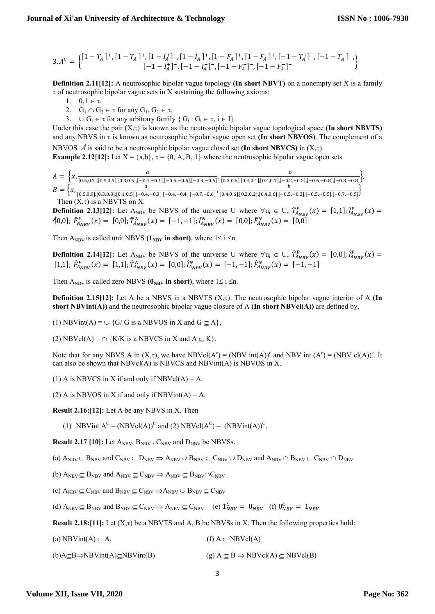$$
3.AC = \begin{Bmatrix} [1 - T_A^+]^+, [1 - T_A^-]^+, [1 - I_A^+]^+, [1 - I_A^-]^+, [1 - F_A^+]^+, [1 - F_A^-]^+, [-1 - T_A^+]^-, [-1 - T_A^-]^-, \\ [-1 - I_A^+]^-, [-1 - I_A^-]^-, [-1 - F_A^+]^-, [-1 - F_A^-]^- \end{Bmatrix}
$$

Definition 2.11[12]: A neutrosophic bipolar vague topology (In short NBVT) on a nonempty set X is a family  $\tau$  of neutrosophic bipolar vague sets in X sustaining the following axioms:

1.  $0,1 \in \tau$ .

- 2.  $G_1 \cap G_2 \in \tau$  for any  $G_1, G_2 \in \tau$ .
- 3.  $\cup G_i \in \tau$  for any arbitrary family  $\{ G_i : G_i \in \tau, i \in I \}.$

Under this case the pair  $(X, \tau)$  is known as the neutrosophic bipolar vague topological space (In short NBVTS) and any NBVS in  $\tau$  is known as neutrosophic bipolar vague open set (In short NBVOS). The complement of a NBVOS  $\vec{A}$  is said to be a neutrosophic bipolar vague closed set (In short NBVCS) in  $(X,\tau)$ .

**Example 2.12[12]:** Let  $X = \{a,b\}, \tau = \{0, A, B, 1\}$  where the neutrosophic bipolar vague open sets

$$
A = \left\{ x, \frac{a}{[0.5, 0.7], [0.5, 0.5], [0.3, 0.5], [-0.4, -0.1], [-0.5, -0.6], [-0.9, -0.6]}, \frac{b}{[0.3, 0.6], [0.4, 0.4], [0.4, 0.7], [-0.2, -0.2], [-0.6, -0.8], [-0.8, -0.8]} \right\},
$$
  
\n
$$
B = \left\{ x, \frac{a}{[0.5, 0.9], [0.3, 0.3], [0.1, 0.5], [-0.4, -0.3], [-0.4, -0.4], [-0.7, -0.6]}, \frac{b}{[0.4, 0.6], [0.4, 0.4], [0.4, 0.5], [-0.5, -0.3], [-0.5, -0.5], [-0.7, -0.5]} \right\}
$$

Then  $(X, \tau)$  is a NBVTS on X.

 $[0,0]; \hat{F}_{A_{NBV}}^P(x) = [0,0]; \hat{T}_{A_{NBV}}^N(x) = [-1,-1]; \hat{I}_{A_{NBV}}^N(x) = [0,0]; \hat{F}_{A_{NBV}}^N(x) = [0,0]$ **Definition 2.13[12]:** Let  $A_{NBV}$  be NBVS of the universe U where  $\forall u_i \in U$ ,  $\hat{T}_{A_{NBV}}^P(x) = [1,1]; \hat{T}_{A_{NBV}}^P(x) =$ 

Then A<sub>NBV</sub> is called unit NBVS ( $1_{\text{NBV}}$  in short), where  $1 \le i \le n$ .

**Definition 2.14[12]:** Let  $A_{NBV}$  be NBVS of the universe U where  $\forall u_i \in U$ ,  $\hat{T}_{A_{NBV}}^P(x) = [0,0]$ ;  $\hat{I}_{A_{NBV}}^P(x) =$ [1,1];  $\hat{F}_{A_{NBV}}^P(x) = [1,1]; \hat{T}_{A_{NBV}}^N(x) = [0,0]; \hat{I}_{A_{NBV}}^N(x) = [-1,-1]; \hat{F}_{A_{NBV}}^N(x) = [-1,-1]$ 

Then A<sub>NBV</sub> is called zero NBVS ( $\mathbf{0}_{\text{NBV}}$  in short), where  $1 \le i \le n$ .

**Definition 2.15[12]:** Let A be a NBVS in a NBVTS  $(X,\tau)$ . The neutrosophic bipolar vague interior of A (In short NBVint(A)) and the neutrosophic bipolar vague closure of A (In short NBVcl(A)) are defined by,

(1) NBVint(A) =  $\cup$  {G/ G is a NBVOS in X and G  $\subseteq$  A},

(2) NBVcl(A) =  $\cap$  {K/K is a NBVCS in X and A  $\subseteq$  K}.

Note that for any NBVS A in  $(X,\tau)$ , we have NBVcl $(A^c) = (NBV \text{ int}(A))^c$  and NBV int  $(A^c) = (NBV \text{ cl}(A))^c$ . It can also be shown that NBVcl(A) is NBVCS and NBVint(A) is NBVOS in X.

(1) A is NBVCS in X if and only if  $NBVcl(A) = A$ .

(2) A is NBVOS in X if and only if NBVint(A) = A.

Result 2.16:[12]: Let A be any NBVS in X. Then

(1) NBVint  $A^C = (NBVcl(A))^C$  and (2) NBVcl( $A^C$ ) =  $(NBVint(A))^C$ .

**Result 2.17 [10]:** Let  $A_{NBV}$ ,  $B_{NBV}$ ,  $C_{NBV}$  and  $D_{NBV}$  be NBVSs.

(a)  $A_{\text{NBV}} \subseteq B_{\text{NBV}}$  and  $C_{\text{NBV}} \subseteq D_{\text{NBV}} \Rightarrow A_{\text{NBV}} \cup B_{\text{NBV}} \subseteq C_{\text{NBV}} \cup D_{\text{NBV}}$  and  $A_{\text{NBV}} \cap B_{\text{NBV}} \subseteq C_{\text{NBV}} \cap D_{\text{NBV}}$ 

(b)  $A_{\text{NBV}} \subseteq B_{\text{NBV}}$  and  $A_{\text{NBV}} \subseteq C_{\text{NBV}} \Rightarrow A_{\text{NBV}} \subseteq B_{\text{NBV}} \cap C_{\text{NBV}}$ 

(c)  $A_{\text{NBV}} \subseteq C_{\text{NBV}}$  and  $B_{\text{NBV}} \subseteq C_{\text{NBV}} \Rightarrow A_{\text{NBV}} \cup B_{\text{NBV}} \subseteq C_{\text{NBV}}$ 

(d)  $A_{NBV} \subseteq B_{NBV}$  and  $B_{NBV} \subseteq C_{NBV} \Rightarrow A_{NBV} \subseteq C_{NBV}$  (e)  $1_{NBV}^C = 0_{NBV}$  (f)  $0_{NBV}^C = 1_{NBV}$ 

Result 2.18:[11]: Let  $(X, \tau)$  be a NBVTS and A, B be NBVSs in X. Then the following properties hold:

(a) NBVint(A)  $\subset$  A, (f) A  $\subset$  NBVcl(A)

(b)A $\subseteq$ B $\Rightarrow$ NBVint(A) $\subseteq$ NBVint(B) (g) A  $\subseteq$  B  $\Rightarrow$  NBVcl(A)  $\subseteq$  NBVcl(B)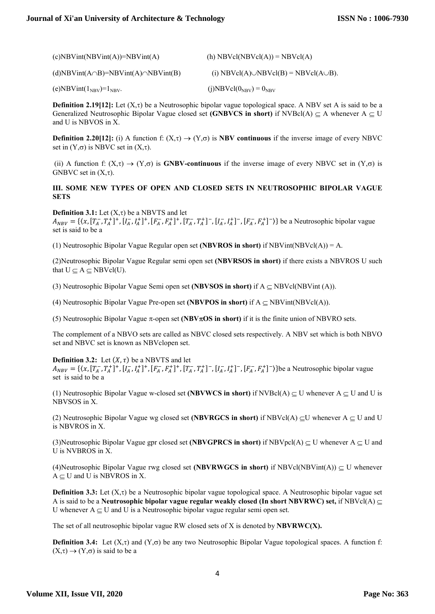| $(c)$ NBVint(NBVint(A))=NBVint(A)                          | (h) $NBVcl(NBVcl(A)) = NBVcl(A)$                  |
|------------------------------------------------------------|---------------------------------------------------|
| $(d)$ NBVint $(A \cap B)$ =NBVint $(A) \cap NBV$ int $(B)$ | (i) NBVcl(A) $\cup$ NBVcl(B) = NBVcl(A $\cup$ B). |
| (e)NBVint( $1_{\text{NBV}}$ )= $1_{\text{NBV}}$ .          | $(j)$ NBVcl $(0_{\text{NBV}}) = 0_{\text{NBV}}$   |

**Definition 2.19[12]:** Let  $(X,\tau)$  be a Neutrosophic bipolar vague topological space. A NBV set A is said to be a Generalized Neutrosophic Bipolar Vague closed set (GNBVCS in short) if NVBcl(A)  $\subseteq$  A whenever A  $\subseteq$  U and U is NBVOS in X.

**Definition 2.20[12]:** (i) A function f:  $(X,\tau) \to (Y,\sigma)$  is **NBV continuous** if the inverse image of every NBVC set in  $(Y,\sigma)$  is NBVC set in  $(X,\tau)$ .

(ii) A function f:  $(X,\tau) \to (Y,\sigma)$  is **GNBV-continuous** if the inverse image of every NBVC set in  $(Y,\sigma)$  is GNBVC set in  $(X, \tau)$ .

## III. SOME NEW TYPES OF OPEN AND CLOSED SETS IN NEUTROSOPHIC BIPOLAR VAGUE **SETS**

#### **Definition 3.1:** Let  $(X, \tau)$  be a NBVTS and let

 $A_{NBV} = \{(x, [T_A^-, T_A^+]^+, [I_A^-, I_A^+]^+, [F_A^-, F_A^+]^+, [T_A^-, T_A^+]^-, [I_A^-, I_A^+]^-, [F_A^-, F_A^+]^-\})\}$  be a Neutrosophic bipolar vague set is said to be a

(1) Neutrosophic Bipolar Vague Regular open set (NBVROS in short) if NBVint(NBVcl(A)) = A.

(2)Neutrosophic Bipolar Vague Regular semi open set (NBVRSOS in short) if there exists a NBVROS U such that  $U \subset A \subset NBVcl(U)$ .

(3) Neutrosophic Bipolar Vague Semi open set (NBVSOS in short) if  $A \subseteq NBVcl(NBVint (A))$ .

(4) Neutrosophic Bipolar Vague Pre-open set (NBVPOS in short) if  $A \subseteq NBV$ int(NBVcl(A)).

(5) Neutrosophic Bipolar Vague  $\pi$ -open set (NBV $\pi$ OS in short) if it is the finite union of NBVRO sets.

The complement of a NBVO sets are called as NBVC closed sets respectively. A NBV set which is both NBVO set and NBVC set is known as NBVclopen set.

#### **Definition 3.2:** Let  $(X, \tau)$  be a NBVTS and let

 $A_{NBV} = \{(x, [T_A^-, T_A^+]^+, [I_A^-, I_A^+]^+, [F_A^-, F_A^+]^+, [T_A^-, T_A^+]^-, [I_A^-, I_A^+]^-, [F_A^-, F_A^+]^-\})\}$ be a Neutrosophic bipolar vague set is said to be a

(1) Neutrosophic Bipolar Vague w-closed set (NBVWCS in short) if NVBcl(A)  $\subseteq$  U whenever A  $\subseteq$  U and U is NBVSOS in X.

(2) Neutrosophic Bipolar Vague wg closed set (NBVRGCS in short) if NBVcl(A)  $\subseteq$ U whenever A  $\subseteq$  U and U is NBVROS in X.

(3)Neutrosophic Bipolar Vague gpr closed set (NBVGPRCS in short) if NBVpcl(A)  $\subseteq$  U whenever A  $\subseteq$  U and U is NVBROS in X.

(4)Neutrosophic Bipolar Vague rwg closed set (NBVRWGCS in short) if NBVcl(NBVint(A))  $\subseteq U$  whenever  $A \subset U$  and U is NBVROS in X.

**Definition 3.3:** Let  $(X, \tau)$  be a Neutrosophic bipolar vague topological space. A Neutrosophic bipolar vague set A is said to be a Neutrosophic bipolar vague regular weakly closed (In short NBVRWC) set, if NBVcl(A)  $\subset$ U whenever  $A \subset U$  and U is a Neutrosophic bipolar vague regular semi open set.

The set of all neutrosophic bipolar vague RW closed sets of X is denoted by  $NBVRWC(X)$ .

**Definition 3.4:** Let  $(X,\tau)$  and  $(Y,\sigma)$  be any two Neutrosophic Bipolar Vague topological spaces. A function f:  $(X,\tau) \rightarrow (Y,\sigma)$  is said to be a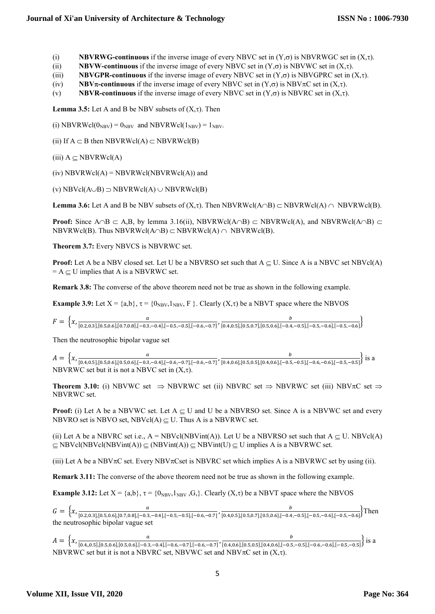## **Journal of Xi'an University of Architecture & Technology**

(i) NBVRWG-continuous if the inverse image of every NBVC set in  $(Y,\sigma)$  is NBVRWGC set in  $(X,\tau)$ .

(ii) NBVW-continuous if the inverse image of every NBVC set in  $(Y,\sigma)$  is NBVWC set in  $(X,\tau)$ .

(iii) NBVGPR-continuous if the inverse image of every NBVC set in  $(Y,\sigma)$  is NBVGPRC set in  $(X,\tau)$ .

(iv) NBV $\pi$ -continuous if the inverse image of every NBVC set in  $(Y,\sigma)$  is NBV $\pi$ C set in  $(X,\tau)$ .

(v) NBVR-continuous if the inverse image of every NBVC set in  $(Y,\sigma)$  is NBVRC set in  $(X,\tau)$ .

**Lemma 3.5:** Let A and B be NBV subsets of  $(X,\tau)$ . Then

(i) NBVRWcl( $0_{\text{NBV}}$ ) =  $0_{\text{NBV}}$  and NBVRWcl( $1_{\text{NBV}}$ ) =  $1_{\text{NBV}}$ .

(ii) If  $A \subset B$  then NBVRWcl(A)  $\subset$  NBVRWcl(B)

 $(iii)$   $A \subset NBVRWcl(A)$ 

 $(iv)$  NBVRWcl $(A)$  = NBVRWcl $(NBVRWcI(A))$  and

(v) NBVcl( $A \cup B$ )  $\supset$  NBVRWcl( $A$ )  $\cup$  NBVRWcl( $B$ )

**Lemma 3.6:** Let A and B be NBV subsets of  $(X,\tau)$ . Then NBVRWcl(A $\cap$ B)  $\subset$  NBVRWcl(A)  $\cap$  NBVRWcl(B).

**Proof:** Since  $A \cap B \subset A,B$ , by lemma 3.16(ii), NBVRWcl( $A \cap B$ )  $\subset$  NBVRWcl( $A$ ), and NBVRWcl( $A \cap B$ )  $\subset$ NBVRWcl(B). Thus NBVRWcl(A $\cap$ B)  $\subset$  NBVRWcl(A)  $\cap$  NBVRWcl(B).

Theorem 3.7: Every NBVCS is NBVRWC set.

**Proof:** Let A be a NBV closed set. Let U be a NBVRSO set such that  $A \subseteq U$ . Since A is a NBVC set NBVcl(A)  $= A \subseteq U$  implies that A is a NBVRWC set.

Remark 3.8: The converse of the above theorem need not be true as shown in the following example.

**Example 3.9:** Let  $X = \{a,b\}$ ,  $\tau = \{0_{NBV}, 1_{NBV}, F\}$ . Clearly  $(X, \tau)$  be a NBVT space where the NBVOS

$$
F = \left\{ x, \frac{a}{[0.2, 0.3], [0.5, 0.6], [0.7, 0.8], [-0.3, -0.4], [-0.5, -0.5], [-0.6, -0.7]}, \frac{b}{[0.4, 0.5], [0.5, 0.7], [0.5, 0.6], [-0.4, -0.5], [-0.5, -0.6], [-0.5, -0.6]}\right\}
$$

Then the neutrosophic bipolar vague set

 $A = \begin{cases} x, \frac{a}{[0.4 \times 1] \times 2 \times 1} & \text{if } a \neq 0, \frac{c}{2} \leq 0.61 & \text{if } a \neq 0.3 \end{cases}$  $\frac{a}{[0.4,0.5],[0.5,0.6],[0.5,0.6],[-0.3,-0.4],[-0.6,-0.7],[-0.6,-0.7]}$ ,  $\frac{b}{[0.4,0.6],[0.5,0.5],[0.4,0.6]-0.5}$  $\frac{b}{[0.4, 0.6], [0.5, 0.5], [0.4, 0.6], [-0.5, -0.5], [-0.6, -0.6], [-0.5, -0.5]}$  is a NBVRWC set but it is not a NBVC set in  $(X, Y)$ .

**Theorem 3.10:** (i) NBVWC set  $\Rightarrow$  NBVRWC set (ii) NBVRC set  $\Rightarrow$  NBVRWC set (iii) NBV $\pi$ C set  $\Rightarrow$ NBVRWC set.

**Proof:** (i) Let A be a NBVWC set. Let  $A \subseteq U$  and U be a NBVRSO set. Since A is a NBVWC set and every NBVRO set is NBVO set, NBVcl(A)  $\subset U$ . Thus A is a NBVRWC set.

(ii) Let A be a NBVRC set i.e.,  $A = NBVel(NBVint(A))$ . Let U be a NBVRSO set such that  $A \subset U$ . NBVcl(A)  $\subseteq$  NBVcl(NBVcl(NBVint(A))  $\subseteq$  (NBVint(A))  $\subseteq$  NBVint(U)  $\subseteq$  U implies A is a NBVRWC set.

(iii) Let A be a NBV $\pi$ C set. Every NBV $\pi$ Cset is NBVRC set which implies A is a NBVRWC set by using (ii).

Remark 3.11: The converse of the above theorem need not be true as shown in the following example.

**Example 3.12:** Let  $X = \{a,b\}$ ,  $\tau = \{0_{NBV},1_{NBV},G\}$ . Clearly  $(X,\tau)$  be a NBVT space where the NBVOS

 $G = \begin{cases} x, \frac{a}{[0.2, 0.2] \cdot [0.5, 0.6] \cdot [0.7, 0.8] \cdot [-0.2, 0.8]} \end{cases}$  $\frac{a}{[0.2,0.3],[0.5,0.6],[0.7,0.8],[-0.3,-0.4],[-0.5,-0.5],[-0.6,-0.7]}$ ,  $\frac{b}{[0.4,0.5],[0.5,0.6],[0.5,0.6]-0.4}$  $\frac{b}{[0.4,0.5], [0.5,0.7], [0.5,0.6], [-0.4,-0.5], [-0.5,-0.6], [-0.5,-0.6]}$  Then the neutrosophic bipolar vague set

 $A = \left\{x, \frac{a}{[0.4, 0.5] [0.5, 0.6] [0.5, 0.6] [0.2]} \right\}$  $\frac{a}{[0.4,0.5],[0.5,0.6],[0.5,0.6],[-0.3,-0.4],[-0.6,-0.7],[-0.6,-0.7]}, \frac{b}{[0.4,0.6],[0.5,0.5],[0.4,0.6],[-0.5,-0.7]},$  $\frac{b}{[0.4,0.6],[0.5,0.5],[0.4,0.6],[-0.5,-0.5],[-0.6,-0.6],[-0.5,-0.5]}\$  is a NBVRWC set but it is not a NBVRC set, NBVWC set and NBV $\pi$ C set in  $(X,\tau)$ .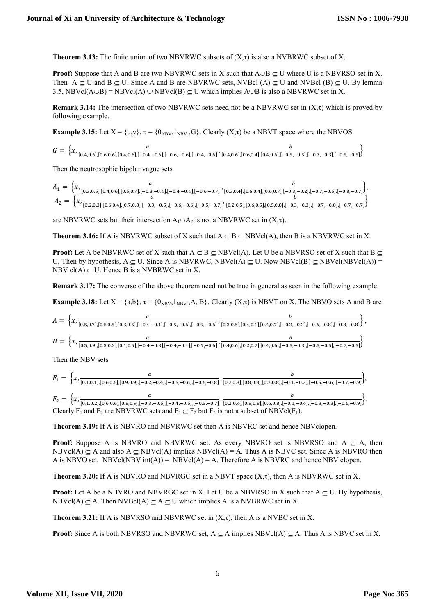**Theorem 3.13:** The finite union of two NBVRWC subsets of  $(X,\tau)$  is also a NVBRWC subset of X.

**Proof:** Suppose that A and B are two NBVRWC sets in X such that  $A \cup B \subseteq U$  where U is a NBVRSO set in X. Then  $A \subseteq U$  and  $B \subseteq U$ . Since A and B are NBVRWC sets, NVBcl  $(A) \subseteq U$  and NVBcl  $(B) \subseteq U$ . By lemma 3.5, NBVcl(A $\cup$ B) = NBVcl(A)  $\cup$  NBVcl(B)  $\subseteq$  U which implies A $\cup$ B is also a NBVRWC set in X.

**Remark 3.14:** The intersection of two NBVRWC sets need not be a NBVRWC set in  $(X,\tau)$  which is proved by following example.

**Example 3.15:** Let  $X = \{u,v\}$ ,  $\tau = \{0_{NBV},1_{NBV},G\}$ . Clearly  $(X,\tau)$  be a NBVT space where the NBVOS

$$
G = \left\{ x, \frac{a}{[0.4, 0.6], [0.6, 0.6], [0.4, 0.6], [-0.4, -0.6], [-0.6, -0.6], [-0.4, -0.6]}, \frac{b}{[0.4, 0.6], [0.6, 0.4], [0.4, 0.6], [-0.5, -0.5], [-0.7, -0.3], [-0.5, -0.5]} \right\}
$$

Then the neutrosophic bipolar vague sets

$$
A_1 = \left\{ x, \frac{a}{[0.3, 0.5], [0.4, 0.6], [0.5, 0.7], [-0.3, -0.4], [-0.4, -0.4], [-0.6, -0.7]}, \frac{b}{[0.3, 0.4], [0.6, 0.4], [0.6, 0.7], [-0.3, -0.2], [-0.7, -0.5], [-0.8, -0.7]} \right\},
$$
  

$$
A_2 = \left\{ x, \frac{a}{[0.2, 0.3], [0.6, 0.4], [0.7, 0.8], [-0.3, -0.5], [-0.6, -0.6], [-0.5, -0.7]}, \frac{b}{[0.2, 0.5], [0.6, 0.5], [0.5, 0.8], [-0.3, -0.3], [-0.7, -0.8], [-0.7, -0.7]} \right\}
$$

are NBVRWC sets but their intersection  $A_1 \cap A_2$  is not a NBVRWC set in  $(X, \tau)$ .

**Theorem 3.16:** If A is NBVRWC subset of X such that  $A \subseteq B \subseteq NBVcl(A)$ , then B is a NBVRWC set in X.

**Proof:** Let A be NBVRWC set of X such that  $A \subseteq B \subseteq NBVcl(A)$ . Let U be a NBVRSO set of X such that  $B \subseteq$ U. Then by hypothesis,  $A \subset U$ . Since A is NBVRWC, NBVcl(A)  $\subset U$ . Now NBVcl(B)  $\subset$  NBVcl(NBVcl(A)) = NBV cl(A)  $\subset$  U. Hence B is a NVBRWC set in X.

Remark 3.17: The converse of the above theorem need not be true in general as seen in the following example.

**Example 3.18:** Let  $X = \{a,b\}$ ,  $\tau = \{0_{NBV},1_{NBV},A,B\}$ . Clearly  $(X,\tau)$  is NBVT on X. The NBVO sets A and B are

$$
A = \left\{ x, \frac{a}{[0.5, 0.7], [0.5, 0.5], [0.3, 0.5], [-0.4, -0.1], [-0.5, -0.6], [-0.9, -0.6]}, \frac{b}{[0.3, 0.6], [0.4, 0.4], [0.4, 0.7], [-0.2, -0.2], [-0.6, -0.8], [-0.8, -0.8]} \right\},
$$
  

$$
B = \left\{ x, \frac{a}{[0.5, 0.9], [0.3, 0.3], [0.1, 0.5], [-0.4, -0.3], [-0.4, -0.4], [-0.7, -0.6]}, \frac{b}{[0.4, 0.6], [0.2, 0.2], [0.4, 0.6], [-0.5, -0.3], [-0.5, -0.5], [-0.7, -0.5]} \right\}
$$

Then the NBV sets

$$
F_1 = \left\{ x, \frac{a}{[0.1, 0.1], [0.6, 0.6], [0.9, 0.9], [-0.2, -0.4], [-0.5, -0.6], [-0.6, -0.8]}, \frac{b}{[0.2, 0.3], [0.8, 0.8], [0.7, 0.8], [-0.1, -0.3], [-0.5, -0.6], [-0.7, -0.9]} \right\},
$$
  
\n
$$
F_2 = \left\{ x, \frac{a}{[0.1, 0.2], [0.6, 0.6], [0.8, 0.9], [-0.3, -0.5], [-0.4, -0.5], [-0.5, -0.7]}, \frac{b}{[0.2, 0.4], [0.8, 0.8], [0.6, 0.8], [-0.1, -0.4], [-0.3, -0.3], [-0.6, -0.9]} \right\}.
$$
  
\nClearly F<sub>1</sub> and F<sub>2</sub> are NBVRWC sets and F<sub>1</sub> ⊆ F<sub>2</sub> but F<sub>2</sub> is not a subset of NBVcl(F<sub>1</sub>).

Theorem 3.19: If A is NBVRO and NBVRWC set then A is NBVRC set and hence NBVclopen.

**Proof:** Suppose A is NBVRO and NBVRWC set. As every NBVRO set is NBVRSO and  $A \subseteq A$ , then  $NBVcl(A) \subset A$  and also  $A \subset NBVcl(A)$  implies  $NBVcl(A) = A$ . Thus A is NBVC set. Since A is NBVRO then A is NBVO set, NBVcl(NBV int(A)) = NBVcl(A) = A. Therefore A is NBVRC and hence NBV clopen.

**Theorem 3.20:** If A is NBVRO and NBVRGC set in a NBVT space  $(X,\tau)$ , then A is NBVRWC set in X.

**Proof:** Let A be a NBVRO and NBVRGC set in X. Let U be a NBVRSO in X such that  $A \subseteq U$ . By hypothesis,  $NBVcl(A) \subset A$ . Then  $NVBcl(A) \subset A \subset U$  which implies A is a NVBRWC set in X.

**Theorem 3.21:** If A is NBVRSO and NBVRWC set in  $(X,\tau)$ , then A is a NVBC set in X.

**Proof:** Since A is both NBVRSO and NBVRWC set,  $A \subseteq A$  implies NBVcl(A)  $\subseteq A$ . Thus A is NBVC set in X.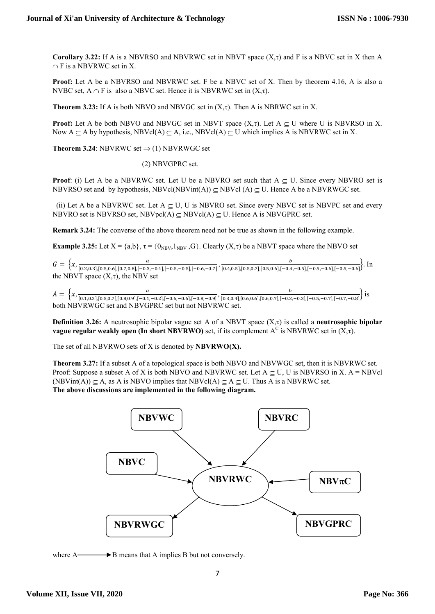Corollary 3.22: If A is a NBVRSO and NBVRWC set in NBVT space  $(X, \tau)$  and F is a NBVC set in X then A  $\cap$  F is a NBVRWC set in X.

Proof: Let A be a NBVRSO and NBVRWC set. F be a NBVC set of X. Then by theorem 4.16, A is also a NVBC set,  $A \cap F$  is also a NBVC set. Hence it is NBVRWC set in  $(X, \tau)$ .

**Theorem 3.23:** If A is both NBVO and NBVGC set in  $(X, \tau)$ . Then A is NBRWC set in X.

**Proof:** Let A be both NBVO and NBVGC set in NBVT space  $(X,\tau)$ . Let  $A \subseteq U$  where U is NBVRSO in X. Now  $A \subseteq A$  by hypothesis, NBVcl(A)  $\subseteq A$ , i.e., NBVcl(A)  $\subseteq U$  which implies A is NBVRWC set in X.

**Theorem 3.24:** NBVRWC set  $\Rightarrow$  (1) NBVRWGC set

(2) NBVGPRC set.

**Proof:** (i) Let A be a NBVRWC set. Let U be a NBVRO set such that  $A \subset U$ . Since every NBVRO set is NBVRSO set and by hypothesis, NBVcl(NBVint(A))  $\subseteq$  NBVcl (A)  $\subseteq$  U. Hence A be a NBVRWGC set.

(ii) Let A be a NBVRWC set. Let  $A \subset U$ , U is NBVRO set. Since every NBVC set is NBVPC set and every NBVRO set is NBVRSO set, NBVpcl(A)  $\subset$  NBVcl(A)  $\subset$  U. Hence A is NBVGPRC set.

Remark 3.24: The converse of the above theorem need not be true as shown in the following example.

**Example 3.25:** Let  $X = \{a,b\}$ ,  $\tau = \{0_{NBV},1_{NBV},G\}$ . Clearly  $(X,\tau)$  be a NBVT space where the NBVO set

 $G = \left\{ x, \frac{a}{[0.20, 21] [0.5, 0.6] [0.7, 0.8] [-0.2]}\right\}$  $\frac{a}{[0.2,0.3],[0.5,0.6],[0.7,0.8],[-0.3,-0.4],[-0.5,-0.5],[-0.6,-0.7]}, \frac{b}{[0.4,0.5],[0.5,0.7],[0.5,0.6],[-0.4,0.7]]}$  $\frac{b}{[0.4,0.5],[0.5,0.7],[0.5,0.6],[-0.4,-0.5],[-0.5,-0.6],[-0.5,-0.6]}$ . In the NBVT space  $(X, \tau)$ , the NBV set

 $A = \begin{cases} x, \frac{a}{[0.1, 0.2] \cdot [0.5, 0.7] \cdot [0.8, 0.0] \cdot [-0.1, 0.8]} \end{cases}$ [.ଵ,.ଶ],[.ହ,.],[.଼,.ଽ],[ି.ଵ,ି.ଶ],[ି.,ି.],[ି.଼,ି.ଽ] ,  $\frac{b}{[0.3,0.4], [0.6,0.6], [0.6,0.7], [-0.2, -0.3], [-0.5, -0.7], [-0.7, -0.8]}$  is both NBVRWGC set and NBVGPRC set but not NBVRWC set.

**Definition 3.26:** A neutrosophic bipolar vague set A of a NBVT space  $(X,\tau)$  is called a neutrosophic bipolar vague regular weakly open (In short NBVRWO) set, if its complement  $A^C$  is NBVRWC set in  $(X, \tau)$ .

The set of all NBVRWO sets of  $X$  is denoted by  $NBVRWO(X)$ .

Theorem 3.27: If a subset A of a topological space is both NBVO and NBVWGC set, then it is NBVRWC set. Proof: Suppose a subset A of X is both NBVO and NBVRWC set. Let  $A \subset U$ , U is NBVRSO in X.  $A = NBVc1$ (NBVint(A))  $\subseteq$  A, as A is NBVO implies that NBVcl(A)  $\subseteq$  A  $\subseteq$  U. Thus A is a NBVRWC set. The above discussions are implemented in the following diagram.



where  $A \longrightarrow B$  means that A implies B but not conversely.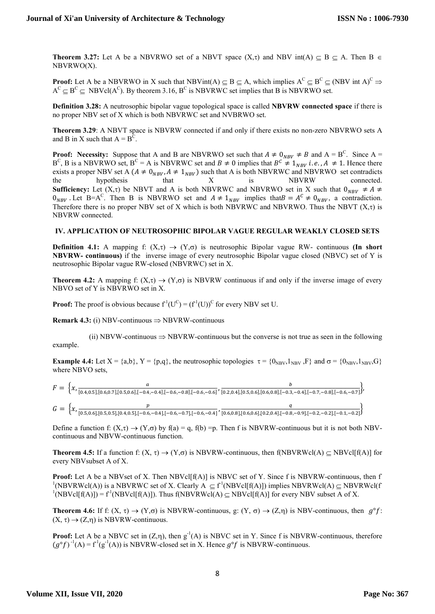**Theorem 3.27:** Let A be a NBVRWO set of a NBVT space  $(X,\tau)$  and NBV int(A)  $\subseteq$  B  $\subseteq$  A. Then B  $\in$ NBVRWO(X).

**Proof:** Let A be a NBVRWO in X such that NBVint(A)  $\subseteq$  B  $\subseteq$  A, which implies A<sup>C</sup>  $\subseteq$  B<sup>C</sup>  $\subseteq$  (NBV int A)<sup>C</sup>  $\Rightarrow$  $A^C \subseteq B^C \subseteq NBVcl(A^C)$ . By theorem 3.16,  $B^C$  is NBVRWC set implies that B is NBVRWO set.

Definition 3.28: A neutrosophic bipolar vague topological space is called NBVRW connected space if there is no proper NBV set of X which is both NBVRWC set and NVBRWO set.

Theorem 3.29: A NBVT space is NBVRW connected if and only if there exists no non-zero NBVRWO sets A and B in X such that  $A = B^{\overline{C}}$ .

**Proof:** Necessity: Suppose that A and B are NBVRWO set such that  $A \neq 0_{NBV} \neq B$  and  $A = B^C$ . Since  $A =$  $B^C$ , B is a NBVRWO set,  $B^C = A$  is NBVRWC set and  $B \neq 0$  implies that  $B^C \neq 1_{NBV}$  *i.e.*,  $A \neq 1$ . Hence there exists a proper NBV set A ( $A \neq 0_{NBV}$ ,  $A \neq 1_{NBV}$ ) such that A is both NBVRWC and NBVRWO set contradicts the hypothesis that X is NBVRW connected. the hypothesis that X is NBVRW connected. **Sufficiency:** Let  $(X,\tau)$  be NBVT and A is both NBVRWC and NBVRWO set in X such that  $0_{NRV} \neq A \neq C$  $0_{NBV}$ . Let B=A<sup>C</sup>. Then B is NBVRWO set and  $A \neq 1_{NBV}$  implies that  $B = A^C \neq 0_{NBV}$ , a contradiction. Therefore there is no proper NBV set of X which is both NBVRWC and NBVRWO. Thus the NBVT  $(X, \tau)$  is NBVRW connected.

#### IV. APPLICATION OF NEUTROSOPHIC BIPOLAR VAGUE REGULAR WEAKLY CLOSED SETS

**Definition 4.1:** A mapping f:  $(X,\tau) \to (Y,\sigma)$  is neutrosophic Bipolar vague RW- continuous (In short NBVRW- continuous) if the inverse image of every neutrosophic Bipolar vague closed (NBVC) set of Y is neutrosophic Bipolar vague RW-closed (NBVRWC) set in X.

**Theorem 4.2:** A mapping f:  $(X,\tau) \to (Y,\sigma)$  is NBVRW continuous if and only if the inverse image of every NBVO set of Y is NBVRWO set in X.

**Proof:** The proof is obvious because  $f'(U^C) = (f'(U))^C$  for every NBV set U.

**Remark 4.3:** (i) NBV-continuous  $\Rightarrow$  NBVRW-continuous

(ii) NBVW-continuous  $\Rightarrow$  NBVRW-continuous but the converse is not true as seen in the following example.

**Example 4.4:** Let  $X = \{a,b\}$ ,  $Y = \{p,q\}$ , the neutrosophic topologies  $\tau = \{0_{NBV}, 1_{NBV}, F\}$  and  $\sigma = \{0_{NBV}, 1_{NBV}, G\}$ where NBVO sets,

$$
F = \left\{ x, \frac{a}{[0.4, 0.5], [0.6, 0.7], [0.5, 0.6], [-0.4, -0.4], [-0.6, -0.8], [-0.6, -0.6]}, \frac{b}{[0.2, 0.4], [0.5, 0.6], [0.6, 0.8], [-0.3, -0.4], [-0.7, -0.8], [-0.6, -0.7]} \right\},\,
$$
  

$$
G = \left\{ x, \frac{p}{[0.5, 0.6], [0.5, 0.5], [0.4, 0.5], [-0.6, -0.4], [-0.6, -0.7], [-0.6, -0.4]}, \frac{q}{[0.6, 0.8], [0.6, 0.6], [0.2, 0.4], [-0.8, -0.9], [-0.2, -0.2], [-0.1, -0.2]} \right\}
$$

Define a function f:  $(X,\tau) \to (Y,\sigma)$  by  $f(a) = q$ ,  $f(b) = p$ . Then f is NBVRW-continuous but it is not both NBVcontinuous and NBVW-continuous function.

**Theorem 4.5:** If a function f:  $(X, \tau) \to (Y, \sigma)$  is NBVRW-continuous, then f(NBVRWcl(A)  $\subseteq$  NBVcl[f(A)] for every NBVsubset A of X.

**Proof:** Let A be a NBVset of X. Then NBVcl[ $f(A)$ ] is NBVC set of Y. Since f is NBVRW-continuous, then f <sup>1</sup>(NBVRWcl(A)) is a NBVRWC set of X. Clearly  $A \subseteq f^1(NBVcl[f(A)])$  implies NBVRWcl(A)  $\subseteq NBVRWcl(f(A))$  ${}^{1}$ (NBVcl[f(A)]) = f<sup>-1</sup>(NBVcl[f(A)]). Thus f(NBVRWcl(A)  $\subseteq$  NBVcl[f(A)] for every NBV subset A of X.

**Theorem 4.6:** If f:  $(X, \tau) \to (Y, \sigma)$  is NBVRW-continuous, g:  $(Y, \sigma) \to (Z, \eta)$  is NBV-continuous, then  $g^{\circ}f$ :  $(X, \tau) \rightarrow (Z, \eta)$  is NBVRW-continuous.

**Proof:** Let A be a NBVC set in  $(Z,\eta)$ , then  $g^{-1}(A)$  is NBVC set in Y. Since f is NBVRW-continuous, therefore  $(g^{\circ}f)^{-1}(A) = f^1(g^{-1}(A))$  is NBVRW-closed set in X. Hence  $g^{\circ}f$  is NBVRW-continuous.